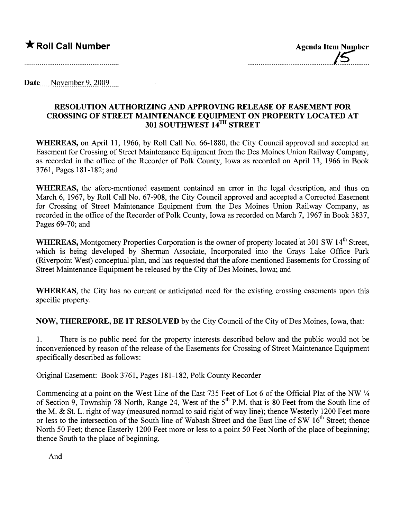## **★ Roll Call Number** Agenda Item Number

Date  $\sim$  November 9, 2009

## RESOLUTION AUTHORIZING AND APPROVING RELEASE OF EASEMENT FOR CROSSING OF STREET MAINTENANCE EQUIPMENT ON PROPERTY LOCATED AT 301 SOUTHWEST 14TH STREET

WHEREAS, on April 11, 1966, by Roll Call No. 66-1880, the City Council approved and accepted an Easement for Crossing of Street Maintenance Equipment from the Des Moines Union Railway Company, as recorded in the office of the Recorder of Polk County, Iowa as recorded on April 13, 1966 in Book 3761, Pages 181-182; and

WHEREAS, the afore-mentioned easement contained an error in the legal description, and thus on March 6, 1967, by Roll Call No. 67-908, the City Council approved and accepted a Corrected Easement for Crossing of Street Maintenance Equipment from the Des Moines Union Railway Company, as recorded in the office of the Recorder of Polk County, Iowa as recorded on March 7, 1967 in Book 3837, Pages 69-70; and

WHEREAS, Montgomery Properties Corporation is the owner of property located at 301 SW 14<sup>th</sup> Street. which is being developed by Sherman Associate, Incorporated into the Grays Lake Office Park (Riverpoint West) conceptual plan, and has requested that the afore-mentioned Easements for Crossing of Street Maintenance Equipment be released by the City of Des Moines, Iowa; and

WHEREAS, the City has no current or anticipated need for the existing crossing easements upon this specific property.

NOW, THEREFORE, BE IT RESOLVED by the City Council of the City of Des Moines, Iowa, that:

1. There is no public need for the property interests described below and the public would not be inconvenienced by reason of the release of the Easements for Crossing of Street Maintenance Equipment specifically described as follows:

Original Easement: Book 3761, Pages 181-182, Polk County Recorder

Commencing at a point on the West Line of the East 735 Feet of Lot 6 of the Official Plat of the NW Y4 of Section 9, Township 78 North, Range 24, West of the  $5<sup>th</sup>$  P.M. that is 80 Feet from the South line of the M. & St. L. right of way (measured normal to said right of way line); thence Westerly 1200 Feet more or less to the intersection of the South line of Wabash Street and the East line of SW 16<sup>th</sup> Street; thence North 50 Feet; thence Easterly 1200 Feet more or less to a point 50 Feet North of the place of beginning; thence South to the place of beginning.

And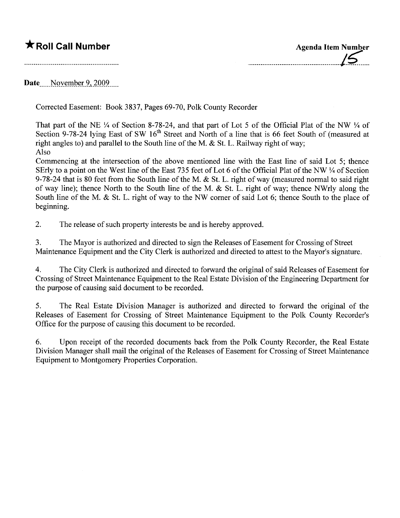## \* Roll Call Number Agenda Item Number

,................................................j~....

Date November 9, 2009

Corrected Easement: Book 3837, Pages 69-70, Polk County Recorder

That part of the NE  $\frac{1}{4}$  of Section 8-78-24, and that part of Lot 5 of the Official Plat of the NW  $\frac{1}{4}$  of Section 9-78-24 lying East of SW 16<sup>th</sup> Street and North of a line that is 66 feet South of (measured at right angles to) and parallel to the South line of the M. & St. L. Railway right of way; Also

Commencing at the intersection of the above mentioned line with the East line of said Lot 5; thence SErly to a point on the West line of the East 735 feet of Lot 6 of the Official Plat of the NW  $\frac{1}{4}$  of Section 9-78-24 that is 80 feet from the South line of the M. & St. L. right of way (measured normal to said right of way line); thence North to the South line of the M. & S1. L. right of way; thence NWrly along the South line of the M. & St. L. right of way to the NW corner of said Lot 6; thence South to the place of beginning.

2. The release of such property interests be and is hereby approved.

3. The Mayor is authorized and directed to sign the Releases of Easement for Crossing of Street Maintenance Equipment and the City Clerk is authorized and directed to attest to the Mayor's signature.

4. The City Clerk is authorized and directed to forward the original of said Releases of Easement for Crossing of Street Maintenance Equipment to the Real Estate Division of the Engineering Department for the purpose of causing said document to be recorded.

5. The Real Estate Division Manager is authorized and directed to forward the original of the Releases of Easement for Crossing of Street Maintenance Equipment to the Polk County Recorder's Office for the purpose of causing this document to be recorded.

6. Upon receipt of the recorded documents back from the Polk County Recorder, the Real Estate Division Manager shall mail the original of the Releases of Easement for Crossing of Street Maintenance Equipment to Montgomery Properties Corporation.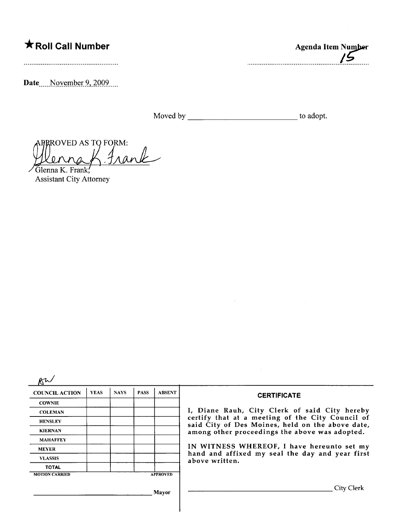## \* Roll Call Number

Date\_\_\_\_November 9, 2009.

Moved by the state of the state of the adopt.

 $\sqrt{5}$ 

Agenda Item Number

APPROVED AS TO FORM:<br>Wenne K. Frank, Frank

Assistant City Attorney

| <b>COUNCIL ACTION</b> | <b>YEAS</b> | <b>NAYS</b> | <b>PASS</b> | <b>ABSENT</b>   | <b>CERTIFICATE</b>                                                                                                                                                                                      |  |  |  |
|-----------------------|-------------|-------------|-------------|-----------------|---------------------------------------------------------------------------------------------------------------------------------------------------------------------------------------------------------|--|--|--|
| <b>COWNIE</b>         |             |             |             |                 |                                                                                                                                                                                                         |  |  |  |
| <b>COLEMAN</b>        |             |             |             |                 | I, Diane Rauh, City Clerk of said City hereby<br>certify that at a meeting of the City Council of<br>said City of Des Moines, held on the above date,<br>among other proceedings the above was adopted. |  |  |  |
| <b>HENSLEY</b>        |             |             |             |                 |                                                                                                                                                                                                         |  |  |  |
| <b>KIERNAN</b>        |             |             |             |                 |                                                                                                                                                                                                         |  |  |  |
| <b>MAHAFFEY</b>       |             |             |             |                 |                                                                                                                                                                                                         |  |  |  |
| <b>MEYER</b>          |             |             |             |                 | IN WITNESS WHEREOF, I have hereunto set my                                                                                                                                                              |  |  |  |
| <b>VLASSIS</b>        |             |             |             |                 | hand and affixed my seal the day and year first<br>above written.                                                                                                                                       |  |  |  |
| <b>TOTAL</b>          |             |             |             |                 |                                                                                                                                                                                                         |  |  |  |
| <b>MOTION CARRIED</b> |             |             |             | <b>APPROVED</b> |                                                                                                                                                                                                         |  |  |  |
|                       |             |             |             | Mayor           | City Clerk                                                                                                                                                                                              |  |  |  |